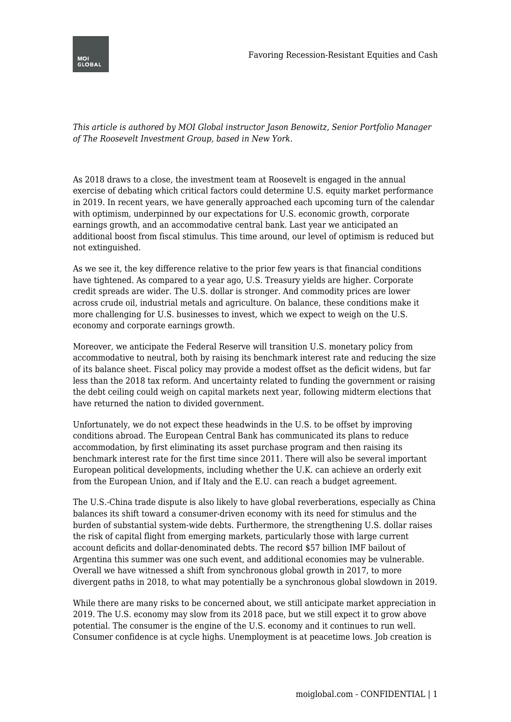

*This article is authored by MOI Global instructor Jason Benowitz, Senior Portfolio Manager of The Roosevelt Investment Group, based in New York.*

As 2018 draws to a close, the investment team at Roosevelt is engaged in the annual exercise of debating which critical factors could determine U.S. equity market performance in 2019. In recent years, we have generally approached each upcoming turn of the calendar with optimism, underpinned by our expectations for U.S. economic growth, corporate earnings growth, and an accommodative central bank. Last year we anticipated an additional boost from fiscal stimulus. This time around, our level of optimism is reduced but not extinguished.

As we see it, the key difference relative to the prior few years is that financial conditions have tightened. As compared to a year ago, U.S. Treasury yields are higher. Corporate credit spreads are wider. The U.S. dollar is stronger. And commodity prices are lower across crude oil, industrial metals and agriculture. On balance, these conditions make it more challenging for U.S. businesses to invest, which we expect to weigh on the U.S. economy and corporate earnings growth.

Moreover, we anticipate the Federal Reserve will transition U.S. monetary policy from accommodative to neutral, both by raising its benchmark interest rate and reducing the size of its balance sheet. Fiscal policy may provide a modest offset as the deficit widens, but far less than the 2018 tax reform. And uncertainty related to funding the government or raising the debt ceiling could weigh on capital markets next year, following midterm elections that have returned the nation to divided government.

Unfortunately, we do not expect these headwinds in the U.S. to be offset by improving conditions abroad. The European Central Bank has communicated its plans to reduce accommodation, by first eliminating its asset purchase program and then raising its benchmark interest rate for the first time since 2011. There will also be several important European political developments, including whether the U.K. can achieve an orderly exit from the European Union, and if Italy and the E.U. can reach a budget agreement.

The U.S.-China trade dispute is also likely to have global reverberations, especially as China balances its shift toward a consumer-driven economy with its need for stimulus and the burden of substantial system-wide debts. Furthermore, the strengthening U.S. dollar raises the risk of capital flight from emerging markets, particularly those with large current account deficits and dollar-denominated debts. The record \$57 billion IMF bailout of Argentina this summer was one such event, and additional economies may be vulnerable. Overall we have witnessed a shift from synchronous global growth in 2017, to more divergent paths in 2018, to what may potentially be a synchronous global slowdown in 2019.

While there are many risks to be concerned about, we still anticipate market appreciation in 2019. The U.S. economy may slow from its 2018 pace, but we still expect it to grow above potential. The consumer is the engine of the U.S. economy and it continues to run well. Consumer confidence is at cycle highs. Unemployment is at peacetime lows. Job creation is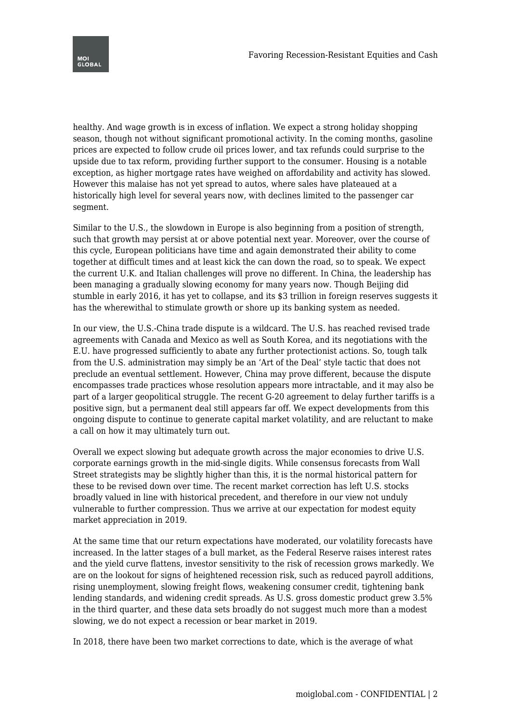

healthy. And wage growth is in excess of inflation. We expect a strong holiday shopping season, though not without significant promotional activity. In the coming months, gasoline prices are expected to follow crude oil prices lower, and tax refunds could surprise to the upside due to tax reform, providing further support to the consumer. Housing is a notable exception, as higher mortgage rates have weighed on affordability and activity has slowed. However this malaise has not yet spread to autos, where sales have plateaued at a historically high level for several years now, with declines limited to the passenger car segment.

Similar to the U.S., the slowdown in Europe is also beginning from a position of strength, such that growth may persist at or above potential next year. Moreover, over the course of this cycle, European politicians have time and again demonstrated their ability to come together at difficult times and at least kick the can down the road, so to speak. We expect the current U.K. and Italian challenges will prove no different. In China, the leadership has been managing a gradually slowing economy for many years now. Though Beijing did stumble in early 2016, it has yet to collapse, and its \$3 trillion in foreign reserves suggests it has the wherewithal to stimulate growth or shore up its banking system as needed.

In our view, the U.S.-China trade dispute is a wildcard. The U.S. has reached revised trade agreements with Canada and Mexico as well as South Korea, and its negotiations with the E.U. have progressed sufficiently to abate any further protectionist actions. So, tough talk from the U.S. administration may simply be an 'Art of the Deal' style tactic that does not preclude an eventual settlement. However, China may prove different, because the dispute encompasses trade practices whose resolution appears more intractable, and it may also be part of a larger geopolitical struggle. The recent G-20 agreement to delay further tariffs is a positive sign, but a permanent deal still appears far off. We expect developments from this ongoing dispute to continue to generate capital market volatility, and are reluctant to make a call on how it may ultimately turn out.

Overall we expect slowing but adequate growth across the major economies to drive U.S. corporate earnings growth in the mid-single digits. While consensus forecasts from Wall Street strategists may be slightly higher than this, it is the normal historical pattern for these to be revised down over time. The recent market correction has left U.S. stocks broadly valued in line with historical precedent, and therefore in our view not unduly vulnerable to further compression. Thus we arrive at our expectation for modest equity market appreciation in 2019.

At the same time that our return expectations have moderated, our volatility forecasts have increased. In the latter stages of a bull market, as the Federal Reserve raises interest rates and the yield curve flattens, investor sensitivity to the risk of recession grows markedly. We are on the lookout for signs of heightened recession risk, such as reduced payroll additions, rising unemployment, slowing freight flows, weakening consumer credit, tightening bank lending standards, and widening credit spreads. As U.S. gross domestic product grew 3.5% in the third quarter, and these data sets broadly do not suggest much more than a modest slowing, we do not expect a recession or bear market in 2019.

In 2018, there have been two market corrections to date, which is the average of what